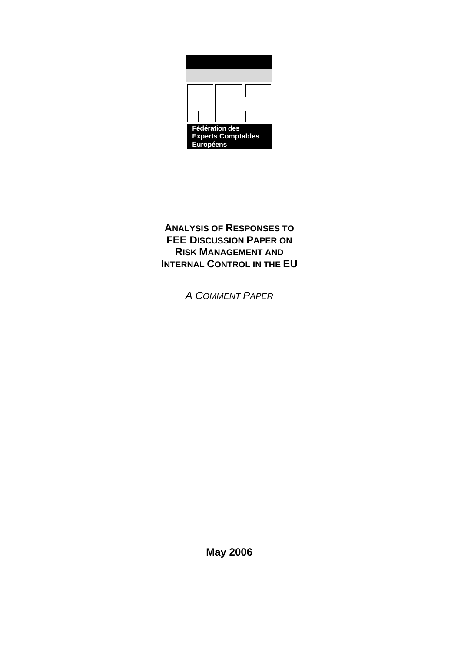

# **ANALYSIS OF RESPONSES TO FEE DISCUSSION PAPER ON RISK MANAGEMENT AND INTERNAL CONTROL IN THE EU**

*A COMMENT PAPER*

**May 2006**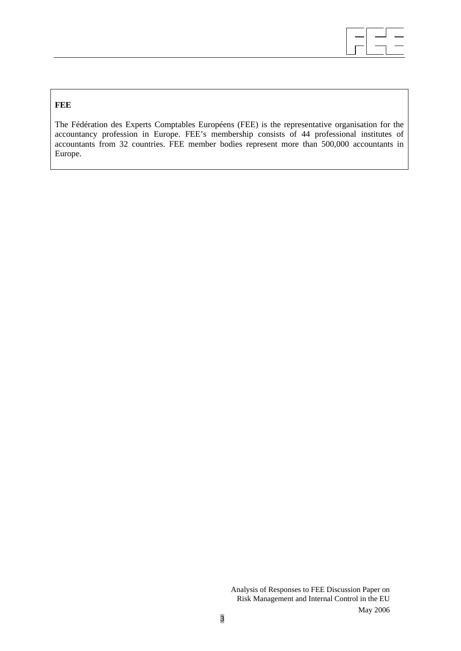

# **FEE**

The Fédération des Experts Comptables Européens (FEE) is the representative organisation for the accountancy profession in Europe. FEE's membership consists of 44 professional institutes of accountants from 32 countries. FEE member bodies represent more than 500,000 accountants in Europe.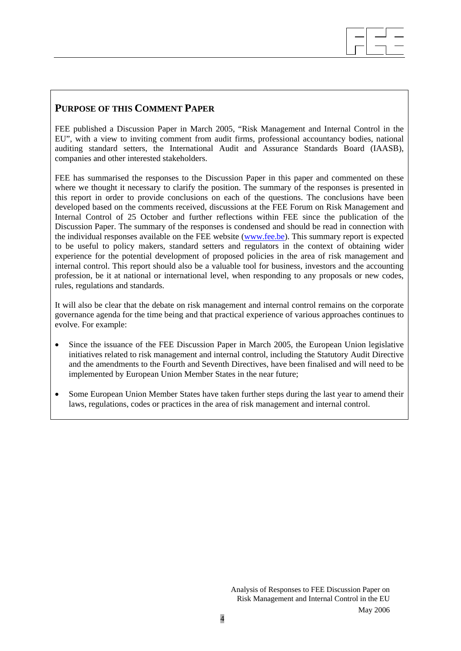#### $\overline{\phantom{a}}$  $\overline{\phantom{a}}$  $\overline{\phantom{a}}$

# **PURPOSE OF THIS COMMENT PAPER**

FEE published a Discussion Paper in March 2005, "Risk Management and Internal Control in the EU", with a view to inviting comment from audit firms, professional accountancy bodies, national auditing standard setters, the International Audit and Assurance Standards Board (IAASB), companies and other interested stakeholders.

FEE has summarised the responses to the Discussion Paper in this paper and commented on these where we thought it necessary to clarify the position. The summary of the responses is presented in this report in order to provide conclusions on each of the questions. The conclusions have been developed based on the comments received, discussions at the FEE Forum on Risk Management and Internal Control of 25 October and further reflections within FEE since the publication of the Discussion Paper. The summary of the responses is condensed and should be read in connection with the individual responses available on the FEE website ([www.fee.be\)](http://www.fee.be/). This summary report is expected to be useful to policy makers, standard setters and regulators in the context of obtaining wider experience for the potential development of proposed policies in the area of risk management and internal control. This report should also be a valuable tool for business, investors and the accounting profession, be it at national or international level, when responding to any proposals or new codes, rules, regulations and standards.

It will also be clear that the debate on risk management and internal control remains on the corporate governance agenda for the time being and that practical experience of various approaches continues to evolve. For example:

- Since the issuance of the FEE Discussion Paper in March 2005, the European Union legislative initiatives related to risk management and internal control, including the Statutory Audit Directive and the amendments to the Fourth and Seventh Directives, have been finalised and will need to be implemented by European Union Member States in the near future;
- Some European Union Member States have taken further steps during the last year to amend their laws, regulations, codes or practices in the area of risk management and internal control.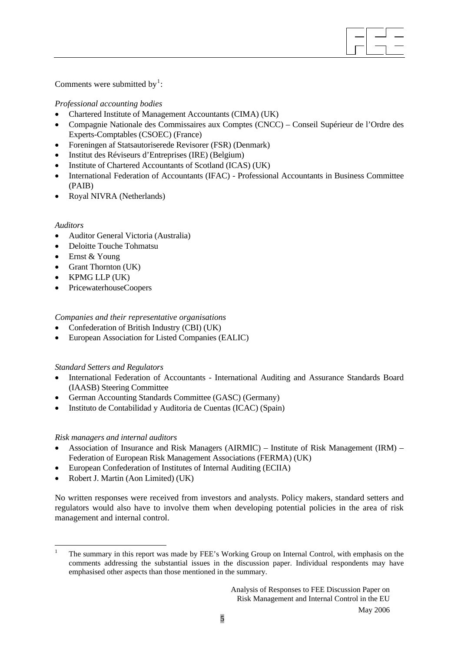Comments were submitted by<sup>[1](#page-4-0)</sup>:

# *Professional accounting bodies*

- Chartered Institute of Management Accountants (CIMA) (UK)
- Compagnie Nationale des Commissaires aux Comptes (CNCC) Conseil Supérieur de l'Ordre des Experts-Comptables (CSOEC) (France)

 $\overline{\phantom{a}}$  $\overline{\phantom{a}}$  $\overline{\phantom{a}}$ 

- Foreningen af Statsautoriserede Revisorer (FSR) (Denmark)
- Institut des Réviseurs d'Entreprises (IRE) (Belgium)
- Institute of Chartered Accountants of Scotland (ICAS) (UK)
- International Federation of Accountants (IFAC) Professional Accountants in Business Committee (PAIB)
- Royal NIVRA (Netherlands)

#### *Auditors*

- Auditor General Victoria (Australia)
- Deloitte Touche Tohmatsu
- Ernst & Young
- Grant Thornton (UK)
- KPMG LLP (UK)
- PricewaterhouseCoopers

### *Companies and their representative organisations*

- Confederation of British Industry (CBI) (UK)
- European Association for Listed Companies (EALIC)

#### *Standard Setters and Regulators*

- International Federation of Accountants International Auditing and Assurance Standards Board (IAASB) Steering Committee
- German Accounting Standards Committee (GASC) (Germany)
- Instituto de Contabilidad y Auditoria de Cuentas (ICAC) (Spain)

#### *Risk managers and internal auditors*

- Association of Insurance and Risk Managers (AIRMIC) Institute of Risk Management (IRM) Federation of European Risk Management Associations (FERMA) (UK)
- European Confederation of Institutes of Internal Auditing (ECIIA)
- Robert J. Martin (Aon Limited) (UK)

No written responses were received from investors and analysts. Policy makers, standard setters and regulators would also have to involve them when developing potential policies in the area of risk management and internal control.

<span id="page-4-0"></span><sup>&</sup>lt;u>.</u> 1 The summary in this report was made by FEE's Working Group on Internal Control, with emphasis on the comments addressing the substantial issues in the discussion paper. Individual respondents may have emphasised other aspects than those mentioned in the summary.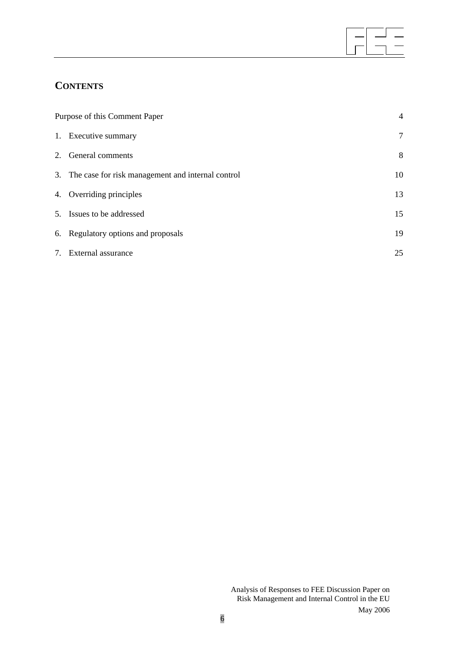# **CONTENTS**

| Purpose of this Comment Paper |                                                      |    |
|-------------------------------|------------------------------------------------------|----|
|                               | 1. Executive summary                                 | 7  |
|                               | 2. General comments                                  | 8  |
|                               | 3. The case for risk management and internal control | 10 |
|                               | 4. Overriding principles                             | 13 |
|                               | 5. Issues to be addressed                            | 15 |
|                               | 6. Regulatory options and proposals                  | 19 |
|                               | 7. External assurance                                | 25 |

 $\overline{\phantom{a}}$  $\overline{\phantom{a}}$  $\overline{\phantom{a}}$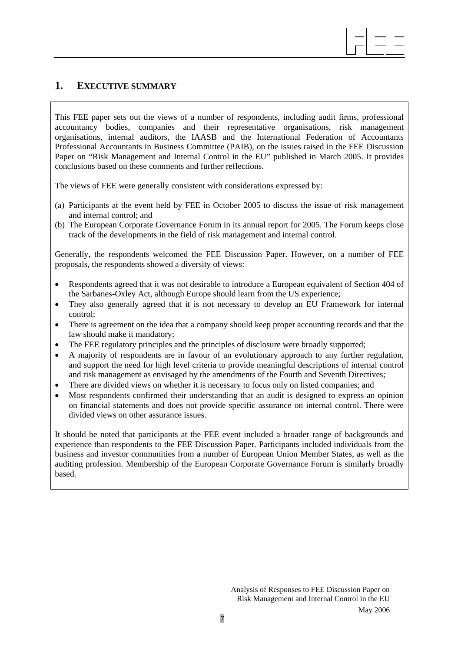# **1. EXECUTIVE SUMMARY**

This FEE paper sets out the views of a number of respondents, including audit firms, professional accountancy bodies, companies and their representative organisations, risk management organisations, internal auditors, the IAASB and the International Federation of Accountants Professional Accountants in Business Committee (PAIB), on the issues raised in the FEE Discussion Paper on "Risk Management and Internal Control in the EU" published in March 2005. It provides conclusions based on these comments and further reflections.

 $\overline{\phantom{a}}$  $\overline{\phantom{a}}$  $\overline{\phantom{a}}$ 

The views of FEE were generally consistent with considerations expressed by:

- (a) Participants at the event held by FEE in October 2005 to discuss the issue of risk management and internal control; and
- (b) The European Corporate Governance Forum in its annual report for 2005. The Forum keeps close track of the developments in the field of risk management and internal control.

Generally, the respondents welcomed the FEE Discussion Paper. However, on a number of FEE proposals, the respondents showed a diversity of views:

- Respondents agreed that it was not desirable to introduce a European equivalent of Section 404 of the Sarbanes-Oxley Act, although Europe should learn from the US experience;
- They also generally agreed that it is not necessary to develop an EU Framework for internal control;
- There is agreement on the idea that a company should keep proper accounting records and that the law should make it mandatory;
- The FEE regulatory principles and the principles of disclosure were broadly supported;
- A majority of respondents are in favour of an evolutionary approach to any further regulation, and support the need for high level criteria to provide meaningful descriptions of internal control and risk management as envisaged by the amendments of the Fourth and Seventh Directives;
- There are divided views on whether it is necessary to focus only on listed companies; and
- Most respondents confirmed their understanding that an audit is designed to express an opinion on financial statements and does not provide specific assurance on internal control. There were divided views on other assurance issues.

It should be noted that participants at the FEE event included a broader range of backgrounds and experience than respondents to the FEE Discussion Paper. Participants included individuals from the business and investor communities from a number of European Union Member States, as well as the auditing profession. Membership of the European Corporate Governance Forum is similarly broadly based.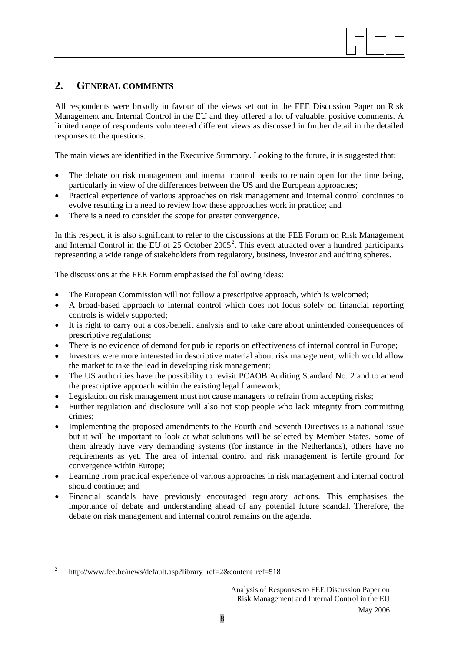

# **2. GENERAL COMMENTS**

All respondents were broadly in favour of the views set out in the FEE Discussion Paper on Risk Management and Internal Control in the EU and they offered a lot of valuable, positive comments. A limited range of respondents volunteered different views as discussed in further detail in the detailed responses to the questions.

The main views are identified in the Executive Summary. Looking to the future, it is suggested that:

- The debate on risk management and internal control needs to remain open for the time being. particularly in view of the differences between the US and the European approaches;
- Practical experience of various approaches on risk management and internal control continues to evolve resulting in a need to review how these approaches work in practice; and
- There is a need to consider the scope for greater convergence.

In this respect, it is also significant to refer to the discussions at the FEE Forum on Risk Management and Internal Control in the EU of [2](#page-7-0)5 October 2005<sup>2</sup>. This event attracted over a hundred participants representing a wide range of stakeholders from regulatory, business, investor and auditing spheres.

The discussions at the FEE Forum emphasised the following ideas:

- The European Commission will not follow a prescriptive approach, which is welcomed;
- A broad-based approach to internal control which does not focus solely on financial reporting controls is widely supported;
- It is right to carry out a cost/benefit analysis and to take care about unintended consequences of prescriptive regulations;
- There is no evidence of demand for public reports on effectiveness of internal control in Europe;
- Investors were more interested in descriptive material about risk management, which would allow the market to take the lead in developing risk management;
- The US authorities have the possibility to revisit PCAOB Auditing Standard No. 2 and to amend the prescriptive approach within the existing legal framework;
- Legislation on risk management must not cause managers to refrain from accepting risks;
- Further regulation and disclosure will also not stop people who lack integrity from committing crimes;
- Implementing the proposed amendments to the Fourth and Seventh Directives is a national issue but it will be important to look at what solutions will be selected by Member States. Some of them already have very demanding systems (for instance in the Netherlands), others have no requirements as yet. The area of internal control and risk management is fertile ground for convergence within Europe;
- Learning from practical experience of various approaches in risk management and internal control should continue; and
- Financial scandals have previously encouraged regulatory actions. This emphasises the importance of debate and understanding ahead of any potential future scandal. Therefore, the debate on risk management and internal control remains on the agenda.

1

<span id="page-7-0"></span><sup>2</sup> http://www.fee.be/news/default.asp?library\_ref=2&content\_ref=518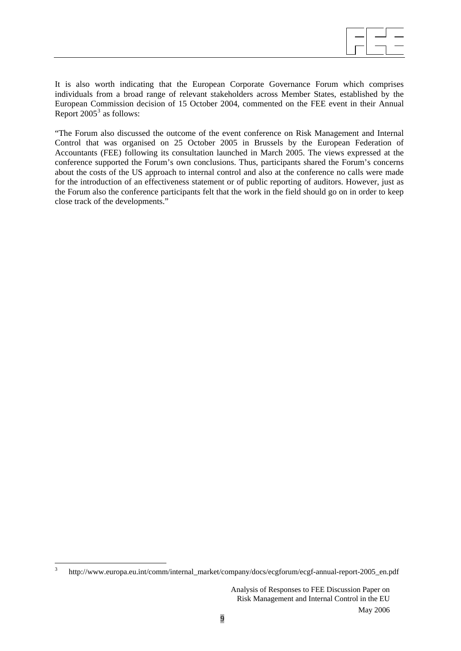It is also worth indicating that the European Corporate Governance Forum which comprises individuals from a broad range of relevant stakeholders across Member States, established by the European Commission decision of 15 October 2004, commented on the FEE event in their Annual Report  $2005^3$  $2005^3$  as follows:

"The Forum also discussed the outcome of the event conference on Risk Management and Internal Control that was organised on 25 October 2005 in Brussels by the European Federation of Accountants (FEE) following its consultation launched in March 2005. The views expressed at the conference supported the Forum's own conclusions. Thus, participants shared the Forum's concerns about the costs of the US approach to internal control and also at the conference no calls were made for the introduction of an effectiveness statement or of public reporting of auditors. However, just as the Forum also the conference participants felt that the work in the field should go on in order to keep close track of the developments."

1

<span id="page-8-0"></span><sup>3</sup> [http://www.europa.eu.int/comm/internal\\_market/company/docs/ecgforum/ecgf-annual-](http://www.europa.eu.int/comm/internal_market/company/docs/ecgforum/ecgf-annual)report-2005\_en.pdf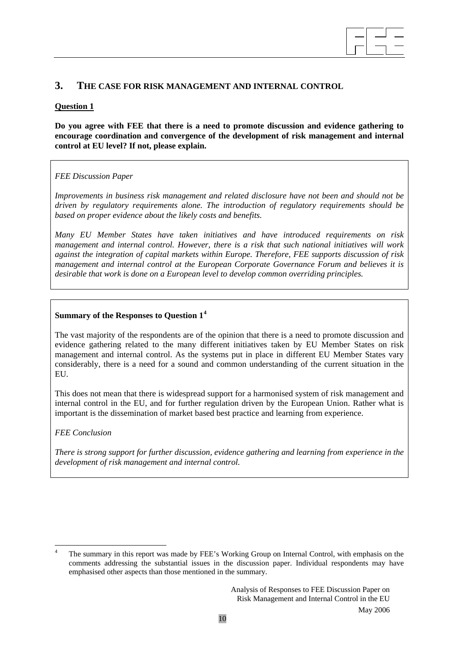

# **3. THE CASE FOR RISK MANAGEMENT AND INTERNAL CONTROL**

#### **Question 1**

**Do you agree with FEE that there is a need to promote discussion and evidence gathering to encourage coordination and convergence of the development of risk management and internal control at EU level? If not, please explain.** 

#### *FEE Discussion Paper*

*Improvements in business risk management and related disclosure have not been and should not be driven by regulatory requirements alone. The introduction of regulatory requirements should be based on proper evidence about the likely costs and benefits.* 

*Many EU Member States have taken initiatives and have introduced requirements on risk management and internal control. However, there is a risk that such national initiatives will work against the integration of capital markets within Europe. Therefore, FEE supports discussion of risk management and internal control at the European Corporate Governance Forum and believes it is desirable that work is done on a European level to develop common overriding principles.* 

#### **Summary of the Responses to Question 1[4](#page-9-0)**

The vast majority of the respondents are of the opinion that there is a need to promote discussion and evidence gathering related to the many different initiatives taken by EU Member States on risk management and internal control. As the systems put in place in different EU Member States vary considerably, there is a need for a sound and common understanding of the current situation in the EU.

This does not mean that there is widespread support for a harmonised system of risk management and internal control in the EU, and for further regulation driven by the European Union. Rather what is important is the dissemination of market based best practice and learning from experience.

#### *FEE Conclusion*

<u>.</u>

*There is strong support for further discussion, evidence gathering and learning from experience in the development of risk management and internal control.* 

<span id="page-9-0"></span><sup>4</sup> The summary in this report was made by FEE's Working Group on Internal Control, with emphasis on the comments addressing the substantial issues in the discussion paper. Individual respondents may have emphasised other aspects than those mentioned in the summary.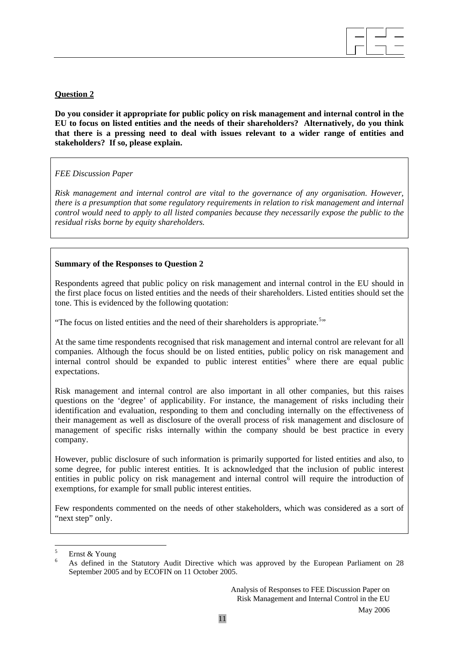

# **Question 2**

**Do you consider it appropriate for public policy on risk management and internal control in the EU to focus on listed entities and the needs of their shareholders? Alternatively, do you think that there is a pressing need to deal with issues relevant to a wider range of entities and stakeholders? If so, please explain.** 

# *FEE Discussion Paper*

*Risk management and internal control are vital to the governance of any organisation. However, there is a presumption that some regulatory requirements in relation to risk management and internal control would need to apply to all listed companies because they necessarily expose the public to the residual risks borne by equity shareholders.* 

### **Summary of the Responses to Question 2**

Respondents agreed that public policy on risk management and internal control in the EU should in the first place focus on listed entities and the needs of their shareholders. Listed entities should set the tone. This is evidenced by the following quotation:

"The focus on listed entities and the need of their shareholders is appropriate.<sup>[5](#page-10-0)</sup>"

At the same time respondents recognised that risk management and internal control are relevant for all companies. Although the focus should be on listed entities, public policy on risk management and internal control should be expanded to public interest entities<sup>[6](#page-10-1)</sup> where there are equal public expectations.

Risk management and internal control are also important in all other companies, but this raises questions on the 'degree' of applicability. For instance, the management of risks including their identification and evaluation, responding to them and concluding internally on the effectiveness of their management as well as disclosure of the overall process of risk management and disclosure of management of specific risks internally within the company should be best practice in every company.

However, public disclosure of such information is primarily supported for listed entities and also, to some degree, for public interest entities. It is acknowledged that the inclusion of public interest entities in public policy on risk management and internal control will require the introduction of exemptions, for example for small public interest entities.

Few respondents commented on the needs of other stakeholders, which was considered as a sort of "next step" only.

<u>.</u>

<span id="page-10-1"></span><span id="page-10-0"></span><sup>5</sup> Ernst & Young

<sup>6</sup> As defined in the Statutory Audit Directive which was approved by the European Parliament on 28 September 2005 and by ECOFIN on 11 October 2005.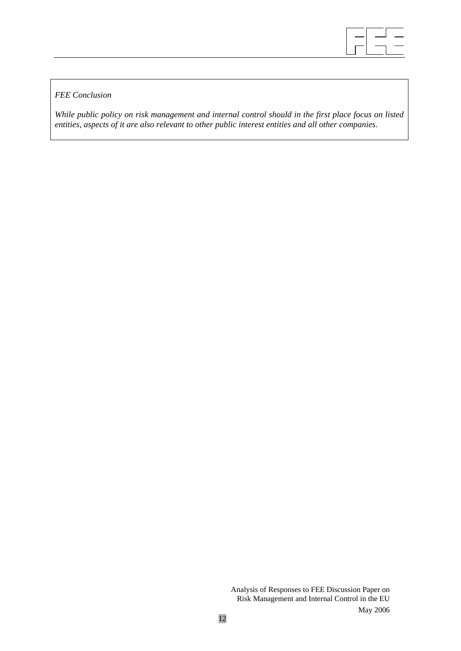

# *FEE Conclusion*

*While public policy on risk management and internal control should in the first place focus on listed entities, aspects of it are also relevant to other public interest entities and all other companies.*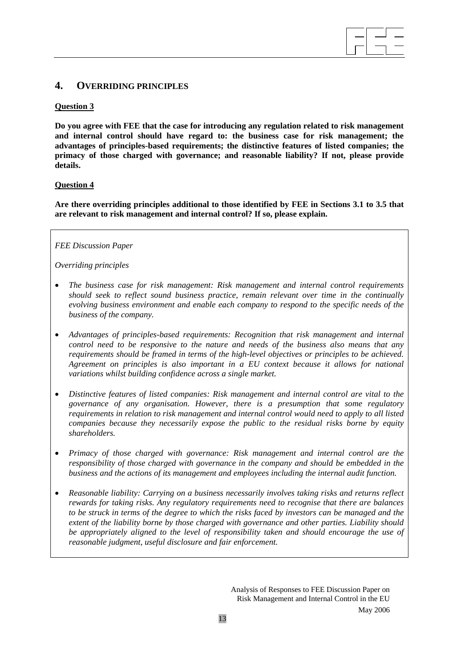# **4. OVERRIDING PRINCIPLES**

#### **Question 3**

**Do you agree with FEE that the case for introducing any regulation related to risk management and internal control should have regard to: the business case for risk management; the advantages of principles-based requirements; the distinctive features of listed companies; the primacy of those charged with governance; and reasonable liability? If not, please provide details.** 

 $\overline{\phantom{a}}$  $\overline{\phantom{a}}$  $\overline{\phantom{a}}$ 

#### **Question 4**

**Are there overriding principles additional to those identified by FEE in Sections 3.1 to 3.5 that are relevant to risk management and internal control? If so, please explain.**

#### *FEE Discussion Paper*

*Overriding principles* 

- *The business case for risk management: Risk management and internal control requirements should seek to reflect sound business practice, remain relevant over time in the continually evolving business environment and enable each company to respond to the specific needs of the business of the company.*
- *Advantages of principles-based requirements: Recognition that risk management and internal control need to be responsive to the nature and needs of the business also means that any requirements should be framed in terms of the high-level objectives or principles to be achieved. Agreement on principles is also important in a EU context because it allows for national variations whilst building confidence across a single market.*
- *Distinctive features of listed companies: Risk management and internal control are vital to the governance of any organisation. However, there is a presumption that some regulatory requirements in relation to risk management and internal control would need to apply to all listed companies because they necessarily expose the public to the residual risks borne by equity shareholders.*
- *Primacy of those charged with governance: Risk management and internal control are the responsibility of those charged with governance in the company and should be embedded in the business and the actions of its management and employees including the internal audit function.*
- *Reasonable liability: Carrying on a business necessarily involves taking risks and returns reflect rewards for taking risks. Any regulatory requirements need to recognise that there are balances to be struck in terms of the degree to which the risks faced by investors can be managed and the extent of the liability borne by those charged with governance and other parties. Liability should be appropriately aligned to the level of responsibility taken and should encourage the use of reasonable judgment, useful disclosure and fair enforcement.*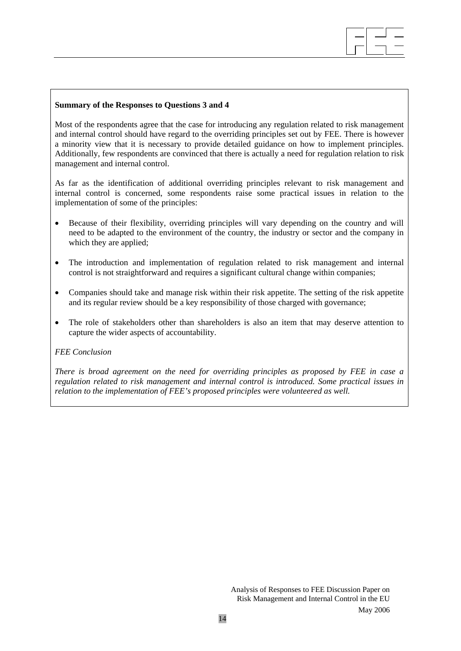Most of the respondents agree that the case for introducing any regulation related to risk management and internal control should have regard to the overriding principles set out by FEE. There is however a minority view that it is necessary to provide detailed guidance on how to implement principles. Additionally, few respondents are convinced that there is actually a need for regulation relation to risk management and internal control.

 $\overline{\phantom{a}}$  $\overline{\phantom{a}}$  $\overline{\phantom{a}}$ 

As far as the identification of additional overriding principles relevant to risk management and internal control is concerned, some respondents raise some practical issues in relation to the implementation of some of the principles:

- Because of their flexibility, overriding principles will vary depending on the country and will need to be adapted to the environment of the country, the industry or sector and the company in which they are applied;
- The introduction and implementation of regulation related to risk management and internal control is not straightforward and requires a significant cultural change within companies;
- Companies should take and manage risk within their risk appetite. The setting of the risk appetite and its regular review should be a key responsibility of those charged with governance;
- The role of stakeholders other than shareholders is also an item that may deserve attention to capture the wider aspects of accountability.

#### *FEE Conclusion*

*There is broad agreement on the need for overriding principles as proposed by FEE in case a regulation related to risk management and internal control is introduced. Some practical issues in relation to the implementation of FEE's proposed principles were volunteered as well.*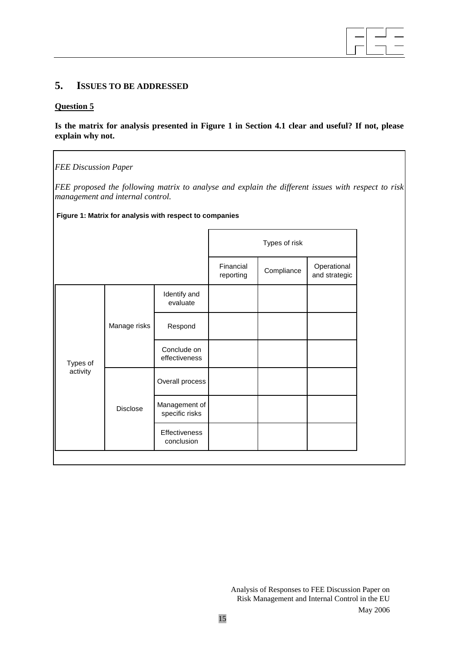#### $\overline{\phantom{a}}$  $\overline{\phantom{a}}$  $\overline{\phantom{a}}$

# **5. ISSUES TO BE ADDRESSED**

### **Question 5**

### **Is the matrix for analysis presented in Figure 1 in Section 4.1 clear and useful? If not, please explain why not.**

*FEE Discussion Paper* 

*FEE proposed the following matrix to analyse and explain the different issues with respect to risk management and internal control.* 

#### **Figure 1: Matrix for analysis with respect to companies**

|          |              |                                 | Types of risk          |            |                              |
|----------|--------------|---------------------------------|------------------------|------------|------------------------------|
|          |              |                                 | Financial<br>reporting | Compliance | Operational<br>and strategic |
|          | Manage risks | Identify and<br>evaluate        |                        |            |                              |
|          |              | Respond                         |                        |            |                              |
| Types of |              | Conclude on<br>effectiveness    |                        |            |                              |
| activity | Disclose     | Overall process                 |                        |            |                              |
|          |              | Management of<br>specific risks |                        |            |                              |
|          |              | Effectiveness<br>conclusion     |                        |            |                              |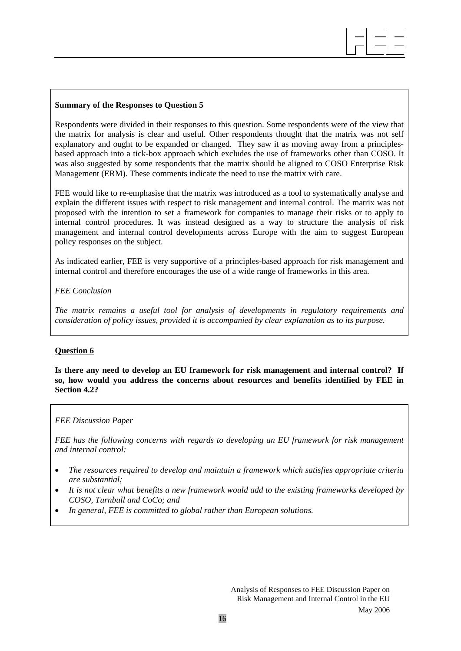Respondents were divided in their responses to this question. Some respondents were of the view that the matrix for analysis is clear and useful. Other respondents thought that the matrix was not self explanatory and ought to be expanded or changed. They saw it as moving away from a principlesbased approach into a tick-box approach which excludes the use of frameworks other than COSO. It was also suggested by some respondents that the matrix should be aligned to COSO Enterprise Risk Management (ERM). These comments indicate the need to use the matrix with care.

 $\overline{\phantom{a}}$  $\overline{\phantom{a}}$  $\overline{\phantom{a}}$ 

FEE would like to re-emphasise that the matrix was introduced as a tool to systematically analyse and explain the different issues with respect to risk management and internal control. The matrix was not proposed with the intention to set a framework for companies to manage their risks or to apply to internal control procedures. It was instead designed as a way to structure the analysis of risk management and internal control developments across Europe with the aim to suggest European policy responses on the subject.

As indicated earlier, FEE is very supportive of a principles-based approach for risk management and internal control and therefore encourages the use of a wide range of frameworks in this area.

#### *FEE Conclusion*

*The matrix remains a useful tool for analysis of developments in regulatory requirements and consideration of policy issues, provided it is accompanied by clear explanation as to its purpose.* 

#### **Question 6**

**Is there any need to develop an EU framework for risk management and internal control? If so, how would you address the concerns about resources and benefits identified by FEE in Section 4.2?** 

#### *FEE Discussion Paper*

*FEE has the following concerns with regards to developing an EU framework for risk management and internal control:* 

- *The resources required to develop and maintain a framework which satisfies appropriate criteria are substantial;*
- *It is not clear what benefits a new framework would add to the existing frameworks developed by COSO, Turnbull and CoCo; and*
- *In general, FEE is committed to global rather than European solutions.*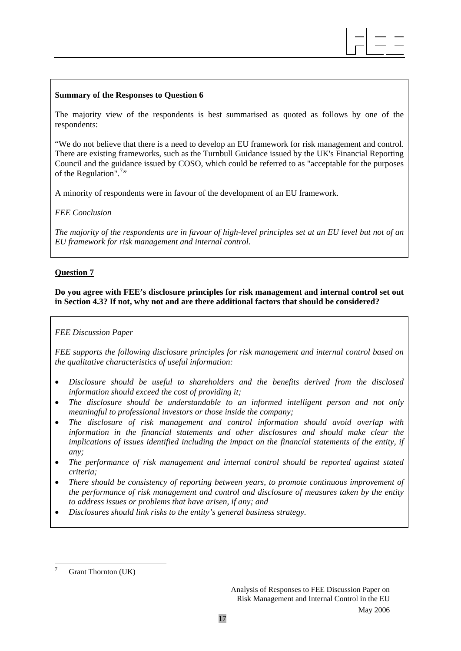

The majority view of the respondents is best summarised as quoted as follows by one of the respondents:

"We do not believe that there is a need to develop an EU framework for risk management and control. There are existing frameworks, such as the Turnbull Guidance issued by the UK's Financial Reporting Council and the guidance issued by COSO, which could be referred to as "acceptable for the purposes of the Regulation".<sup>[7](#page-16-0)</sup>"

A minority of respondents were in favour of the development of an EU framework.

#### *FEE Conclusion*

*The majority of the respondents are in favour of high-level principles set at an EU level but not of an EU framework for risk management and internal control.* 

### **Question 7**

**Do you agree with FEE's disclosure principles for risk management and internal control set out in Section 4.3? If not, why not and are there additional factors that should be considered?** 

#### *FEE Discussion Paper*

*FEE supports the following disclosure principles for risk management and internal control based on the qualitative characteristics of useful information:* 

- *Disclosure should be useful to shareholders and the benefits derived from the disclosed information should exceed the cost of providing it;*
- *The disclosure should be understandable to an informed intelligent person and not only meaningful to professional investors or those inside the company;*
- *The disclosure of risk management and control information should avoid overlap with information in the financial statements and other disclosures and should make clear the implications of issues identified including the impact on the financial statements of the entity, if any;*
- *The performance of risk management and internal control should be reported against stated criteria;*
- *There should be consistency of reporting between years, to promote continuous improvement of the performance of risk management and control and disclosure of measures taken by the entity to address issues or problems that have arisen, if any; and*
- *Disclosures should link risks to the entity's general business strategy.*

1

<span id="page-16-0"></span><sup>7</sup> Grant Thornton (UK)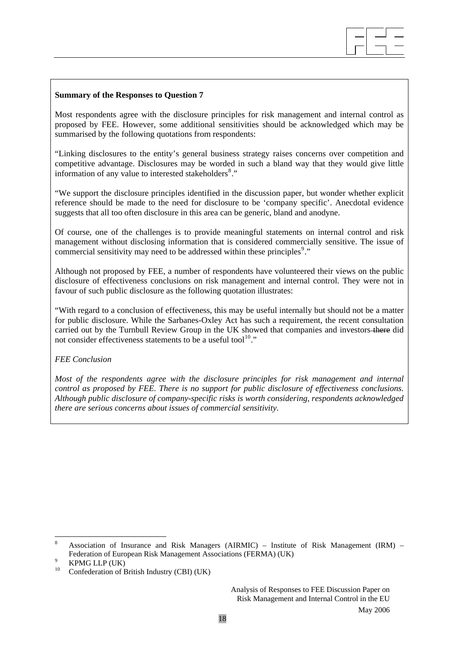Most respondents agree with the disclosure principles for risk management and internal control as proposed by FEE. However, some additional sensitivities should be acknowledged which may be summarised by the following quotations from respondents:

 $\overline{\phantom{a}}$  $\overline{\phantom{a}}$  $\overline{\phantom{a}}$ 

"Linking disclosures to the entity's general business strategy raises concerns over competition and competitive advantage. Disclosures may be worded in such a bland way that they would give little information of any value to interested stakeholders<sup>[8](#page-17-0)</sup>."

"We support the disclosure principles identified in the discussion paper, but wonder whether explicit reference should be made to the need for disclosure to be 'company specific'. Anecdotal evidence suggests that all too often disclosure in this area can be generic, bland and anodyne.

Of course, one of the challenges is to provide meaningful statements on internal control and risk management without disclosing information that is considered commercially sensitive. The issue of commercial sensitivity may need to be addressed within these principles<sup>[9](#page-17-1)</sup>."

Although not proposed by FEE, a number of respondents have volunteered their views on the public disclosure of effectiveness conclusions on risk management and internal control. They were not in favour of such public disclosure as the following quotation illustrates:

"With regard to a conclusion of effectiveness, this may be useful internally but should not be a matter for public disclosure. While the Sarbanes-Oxley Act has such a requirement, the recent consultation carried out by the Turnbull Review Group in the UK showed that companies and investors there did not consider effectiveness statements to be a useful tool<sup>[10](#page-17-2)</sup>."

#### *FEE Conclusion*

*Most of the respondents agree with the disclosure principles for risk management and internal control as proposed by FEE. There is no support for public disclosure of effectiveness conclusions. Although public disclosure of company-specific risks is worth considering, respondents acknowledged there are serious concerns about issues of commercial sensitivity.* 

1

<span id="page-17-0"></span><sup>8</sup> Association of Insurance and Risk Managers (AIRMIC) – Institute of Risk Management (IRM) – Federation of European Risk Management Associations (FERMA) (UK) 9 MNG LUB (UK)

KPMG LLP (UK)

<span id="page-17-2"></span><span id="page-17-1"></span><sup>&</sup>lt;sup>10</sup> Confederation of British Industry (CBI) (UK)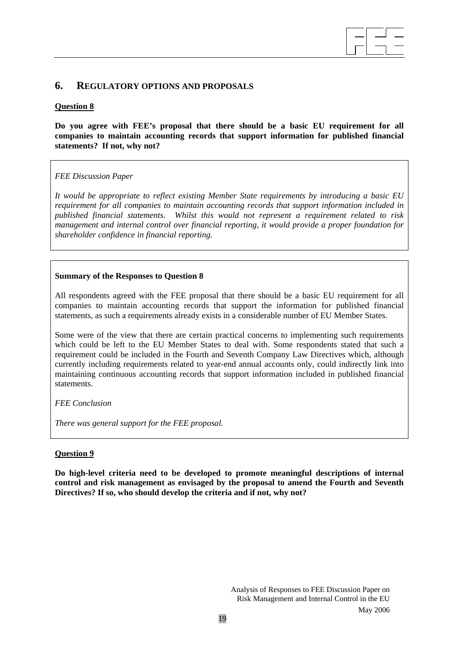# **6. REGULATORY OPTIONS AND PROPOSALS**

# **Question 8**

**Do you agree with FEE's proposal that there should be a basic EU requirement for all companies to maintain accounting records that support information for published financial statements? If not, why not?** 

 $\overline{\phantom{a}}$  $\overline{\phantom{a}}$  $\overline{\phantom{a}}$ 

# *FEE Discussion Paper*

*It would be appropriate to reflect existing Member State requirements by introducing a basic EU requirement for all companies to maintain accounting records that support information included in published financial statements. Whilst this would not represent a requirement related to risk management and internal control over financial reporting, it would provide a proper foundation for shareholder confidence in financial reporting.* 

# **Summary of the Responses to Question 8**

All respondents agreed with the FEE proposal that there should be a basic EU requirement for all companies to maintain accounting records that support the information for published financial statements, as such a requirements already exists in a considerable number of EU Member States.

Some were of the view that there are certain practical concerns to implementing such requirements which could be left to the EU Member States to deal with. Some respondents stated that such a requirement could be included in the Fourth and Seventh Company Law Directives which, although currently including requirements related to year-end annual accounts only, could indirectly link into maintaining continuous accounting records that support information included in published financial statements.

# *FEE Conclusion*

*There was general support for the FEE proposal.* 

# **Question 9**

**Do high-level criteria need to be developed to promote meaningful descriptions of internal control and risk management as envisaged by the proposal to amend the Fourth and Seventh Directives? If so, who should develop the criteria and if not, why not?**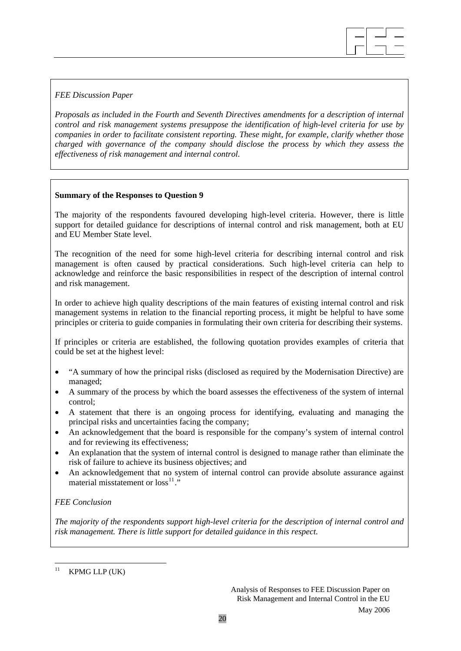### *FEE Discussion Paper*

*Proposals as included in the Fourth and Seventh Directives amendments for a description of internal control and risk management systems presuppose the identification of high-level criteria for use by companies in order to facilitate consistent reporting. These might, for example, clarify whether those charged with governance of the company should disclose the process by which they assess the effectiveness of risk management and internal control.* 

 $\overline{\phantom{a}}$  $\overline{\phantom{a}}$  $\overline{\phantom{a}}$ 

#### **Summary of the Responses to Question 9**

The majority of the respondents favoured developing high-level criteria. However, there is little support for detailed guidance for descriptions of internal control and risk management, both at EU and EU Member State level.

The recognition of the need for some high-level criteria for describing internal control and risk management is often caused by practical considerations. Such high-level criteria can help to acknowledge and reinforce the basic responsibilities in respect of the description of internal control and risk management.

In order to achieve high quality descriptions of the main features of existing internal control and risk management systems in relation to the financial reporting process, it might be helpful to have some principles or criteria to guide companies in formulating their own criteria for describing their systems.

If principles or criteria are established, the following quotation provides examples of criteria that could be set at the highest level:

- "A summary of how the principal risks (disclosed as required by the Modernisation Directive) are managed;
- A summary of the process by which the board assesses the effectiveness of the system of internal control;
- A statement that there is an ongoing process for identifying, evaluating and managing the principal risks and uncertainties facing the company;
- An acknowledgement that the board is responsible for the company's system of internal control and for reviewing its effectiveness;
- An explanation that the system of internal control is designed to manage rather than eliminate the risk of failure to achieve its business objectives; and
- An acknowledgement that no system of internal control can provide absolute assurance against material misstatement or  $loss^{11}$  $loss^{11}$  $loss^{11}$ ."

#### *FEE Conclusion*

*The majority of the respondents support high-level criteria for the description of internal control and risk management. There is little support for detailed guidance in this respect.* 

<span id="page-19-0"></span> $11$  $KPMG$  LLP  $(UK)$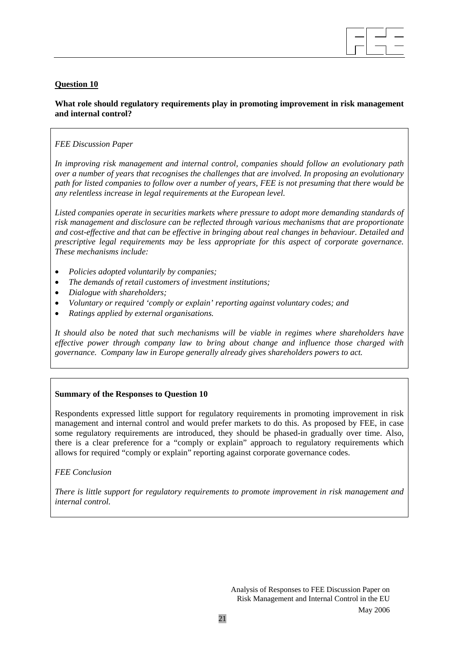

# **Question 10**

# **What role should regulatory requirements play in promoting improvement in risk management and internal control?**

### *FEE Discussion Paper*

*In improving risk management and internal control, companies should follow an evolutionary path over a number of years that recognises the challenges that are involved. In proposing an evolutionary path for listed companies to follow over a number of years, FEE is not presuming that there would be any relentless increase in legal requirements at the European level.* 

*Listed companies operate in securities markets where pressure to adopt more demanding standards of risk management and disclosure can be reflected through various mechanisms that are proportionate and cost-effective and that can be effective in bringing about real changes in behaviour. Detailed and prescriptive legal requirements may be less appropriate for this aspect of corporate governance. These mechanisms include:* 

- *Policies adopted voluntarily by companies;*
- *The demands of retail customers of investment institutions;*
- *Dialogue with shareholders;*
- *Voluntary or required 'comply or explain' reporting against voluntary codes; and*
- *Ratings applied by external organisations.*

*It should also be noted that such mechanisms will be viable in regimes where shareholders have effective power through company law to bring about change and influence those charged with governance. Company law in Europe generally already gives shareholders powers to act.* 

#### **Summary of the Responses to Question 10**

Respondents expressed little support for regulatory requirements in promoting improvement in risk management and internal control and would prefer markets to do this. As proposed by FEE, in case some regulatory requirements are introduced, they should be phased-in gradually over time. Also, there is a clear preference for a "comply or explain" approach to regulatory requirements which allows for required "comply or explain" reporting against corporate governance codes.

*FEE Conclusion* 

*There is little support for regulatory requirements to promote improvement in risk management and internal control.*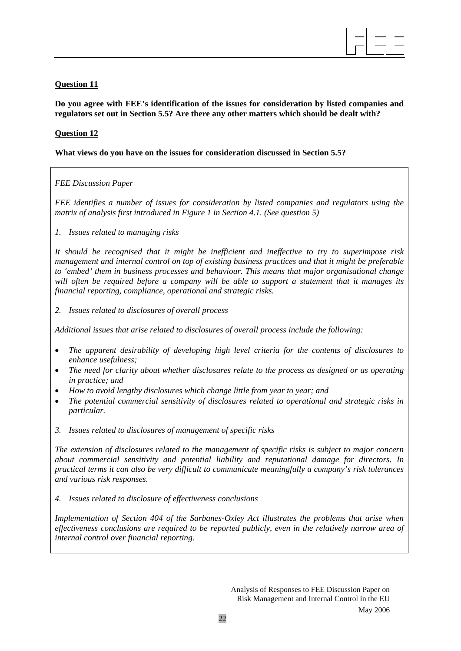

# **Question 11**

**Do you agree with FEE's identification of the issues for consideration by listed companies and regulators set out in Section 5.5? Are there any other matters which should be dealt with?** 

# **Question 12**

# **What views do you have on the issues for consideration discussed in Section 5.5?**

# *FEE Discussion Paper*

*FEE identifies a number of issues for consideration by listed companies and regulators using the matrix of analysis first introduced in Figure 1 in Section 4.1. (See question 5)* 

*1. Issues related to managing risks* 

*It should be recognised that it might be inefficient and ineffective to try to superimpose risk management and internal control on top of existing business practices and that it might be preferable to 'embed' them in business processes and behaviour. This means that major organisational change will often be required before a company will be able to support a statement that it manages its financial reporting, compliance, operational and strategic risks.* 

*2. Issues related to disclosures of overall process* 

*Additional issues that arise related to disclosures of overall process include the following:* 

- *The apparent desirability of developing high level criteria for the contents of disclosures to enhance usefulness;*
- *The need for clarity about whether disclosures relate to the process as designed or as operating in practice; and*
- *How to avoid lengthy disclosures which change little from year to year; and*
- *The potential commercial sensitivity of disclosures related to operational and strategic risks in particular.*
- *3. Issues related to disclosures of management of specific risks*

*The extension of disclosures related to the management of specific risks is subject to major concern about commercial sensitivity and potential liability and reputational damage for directors. In practical terms it can also be very difficult to communicate meaningfully a company's risk tolerances and various risk responses.* 

*4. Issues related to disclosure of effectiveness conclusions* 

*Implementation of Section 404 of the Sarbanes-Oxley Act illustrates the problems that arise when effectiveness conclusions are required to be reported publicly, even in the relatively narrow area of internal control over financial reporting.*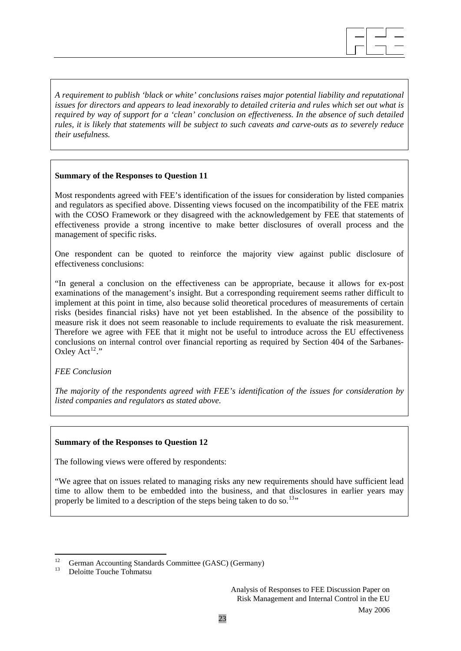$\overline{\phantom{a}}$  $\overline{\phantom{a}}$  $\overline{\phantom{a}}$ 

*A requirement to publish 'black or white' conclusions raises major potential liability and reputational issues for directors and appears to lead inexorably to detailed criteria and rules which set out what is required by way of support for a 'clean' conclusion on effectiveness. In the absence of such detailed rules, it is likely that statements will be subject to such caveats and carve-outs as to severely reduce their usefulness.* 

### **Summary of the Responses to Question 11**

Most respondents agreed with FEE's identification of the issues for consideration by listed companies and regulators as specified above. Dissenting views focused on the incompatibility of the FEE matrix with the COSO Framework or they disagreed with the acknowledgement by FEE that statements of effectiveness provide a strong incentive to make better disclosures of overall process and the management of specific risks.

One respondent can be quoted to reinforce the majority view against public disclosure of effectiveness conclusions:

"In general a conclusion on the effectiveness can be appropriate, because it allows for ex-post examinations of the management's insight. But a corresponding requirement seems rather difficult to implement at this point in time, also because solid theoretical procedures of measurements of certain risks (besides financial risks) have not yet been established. In the absence of the possibility to measure risk it does not seem reasonable to include requirements to evaluate the risk measurement. Therefore we agree with FEE that it might not be useful to introduce across the EU effectiveness conclusions on internal control over financial reporting as required by Section 404 of the Sarbanes-Oxley  $Act^{12}$  $Act^{12}$  $Act^{12}$ ."

*FEE Conclusion* 

*The majority of the respondents agreed with FEE's identification of the issues for consideration by listed companies and regulators as stated above.* 

#### **Summary of the Responses to Question 12**

The following views were offered by respondents:

"We agree that on issues related to managing risks any new requirements should have sufficient lead time to allow them to be embedded into the business, and that disclosures in earlier years may properly be limited to a description of the steps being taken to do so.<sup>[13](#page-22-1)</sup>"

<span id="page-22-0"></span><sup>12</sup> <sup>12</sup> German Accounting Standards Committee (GASC) (Germany)

<span id="page-22-1"></span><sup>13</sup> Deloitte Touche Tohmatsu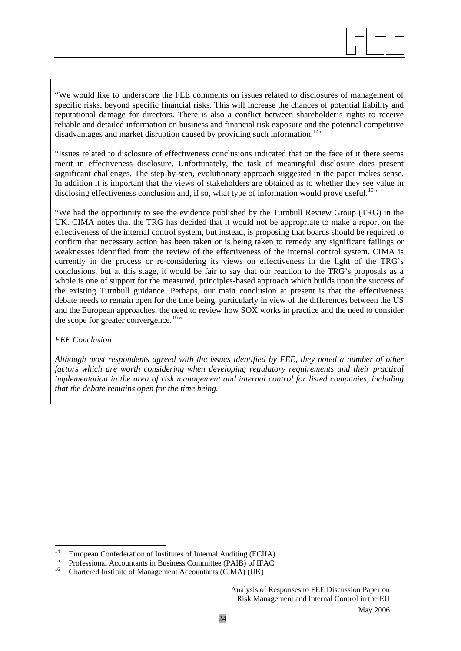"We would like to underscore the FEE comments on issues related to disclosures of management of specific risks, beyond specific financial risks. This will increase the chances of potential liability and reputational damage for directors. There is also a conflict between shareholder's rights to receive reliable and detailed information on business and financial risk exposure and the potential competitive disadvantages and market disruption caused by providing such information.<sup>[14](#page-23-0)</sup>"

"Issues related to disclosure of effectiveness conclusions indicated that on the face of it there seems merit in effectiveness disclosure. Unfortunately, the task of meaningful disclosure does present significant challenges. The step-by-step, evolutionary approach suggested in the paper makes sense. In addition it is important that the views of stakeholders are obtained as to whether they see value in disclosing effectiveness conclusion and, if so, what type of information would prove useful.<sup>[15](#page-23-1)</sup>"

"We had the opportunity to see the evidence published by the Turnbull Review Group (TRG) in the UK. CIMA notes that the TRG has decided that it would not be appropriate to make a report on the effectiveness of the internal control system, but instead, is proposing that boards should be required to confirm that necessary action has been taken or is being taken to remedy any significant failings or weaknesses identified from the review of the effectiveness of the internal control system. CIMA is currently in the process or re-considering its views on effectiveness in the light of the TRG's conclusions, but at this stage, it would be fair to say that our reaction to the TRG's proposals as a whole is one of support for the measured, principles-based approach which builds upon the success of the existing Turnbull guidance. Perhaps, our main conclusion at present is that the effectiveness debate needs to remain open for the time being, particularly in view of the differences between the US and the European approaches, the need to review how SOX works in practice and the need to consider the scope for greater convergence.<sup>[16](#page-23-2)</sup>"

#### *FEE Conclusion*

*Although most respondents agreed with the issues identified by FEE, they noted a number of other factors which are worth considering when developing regulatory requirements and their practical implementation in the area of risk management and internal control for listed companies, including that the debate remains open for the time being.* 

<span id="page-23-0"></span> $14$ <sup>14</sup> European Confederation of Institutes of Internal Auditing (ECIIA)

<span id="page-23-2"></span><span id="page-23-1"></span><sup>&</sup>lt;sup>15</sup> Professional Accountants in Business Committee (PAIB) of IFAC

<sup>16</sup> Chartered Institute of Management Accountants (CIMA) (UK)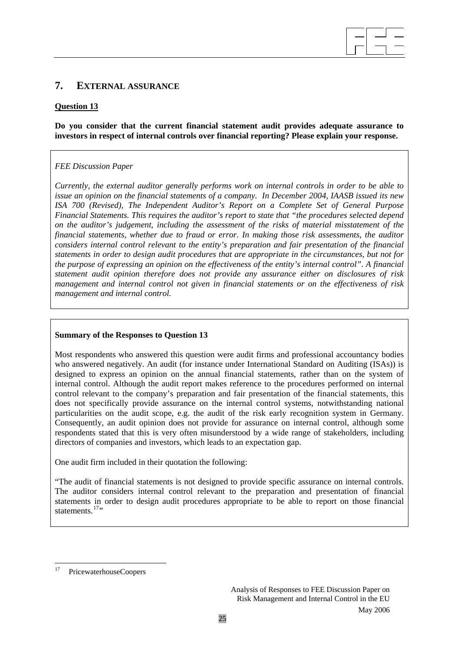# **7. EXTERNAL ASSURANCE**

### **Question 13**

### **Do you consider that the current financial statement audit provides adequate assurance to investors in respect of internal controls over financial reporting? Please explain your response.**

 $\overline{\phantom{a}}$  $\overline{\phantom{a}}$  $\overline{\phantom{a}}$ 

# *FEE Discussion Paper*

*Currently, the external auditor generally performs work on internal controls in order to be able to issue an opinion on the financial statements of a company. In December 2004, IAASB issued its new ISA 700 (Revised), The Independent Auditor's Report on a Complete Set of General Purpose Financial Statements. This requires the auditor's report to state that "the procedures selected depend on the auditor's judgement, including the assessment of the risks of material misstatement of the financial statements, whether due to fraud or error. In making those risk assessments, the auditor considers internal control relevant to the entity's preparation and fair presentation of the financial statements in order to design audit procedures that are appropriate in the circumstances, but not for the purpose of expressing an opinion on the effectiveness of the entity's internal control". A financial statement audit opinion therefore does not provide any assurance either on disclosures of risk management and internal control not given in financial statements or on the effectiveness of risk management and internal control.* 

#### **Summary of the Responses to Question 13**

Most respondents who answered this question were audit firms and professional accountancy bodies who answered negatively. An audit (for instance under International Standard on Auditing (ISAs)) is designed to express an opinion on the annual financial statements, rather than on the system of internal control. Although the audit report makes reference to the procedures performed on internal control relevant to the company's preparation and fair presentation of the financial statements, this does not specifically provide assurance on the internal control systems, notwithstanding national particularities on the audit scope, e.g. the audit of the risk early recognition system in Germany. Consequently, an audit opinion does not provide for assurance on internal control, although some respondents stated that this is very often misunderstood by a wide range of stakeholders, including directors of companies and investors, which leads to an expectation gap.

One audit firm included in their quotation the following:

"The audit of financial statements is not designed to provide specific assurance on internal controls. The auditor considers internal control relevant to the preparation and presentation of financial statements in order to design audit procedures appropriate to be able to report on those financial statements  $17$ "

<span id="page-24-0"></span> $17$ 17 PricewaterhouseCoopers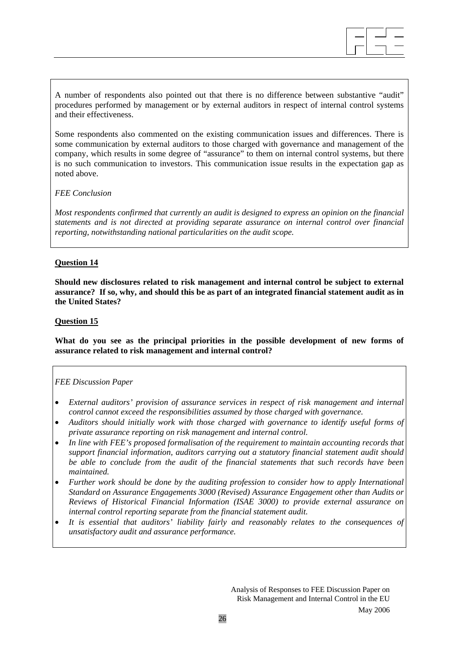A number of respondents also pointed out that there is no difference between substantive "audit" procedures performed by management or by external auditors in respect of internal control systems and their effectiveness.

Some respondents also commented on the existing communication issues and differences. There is some communication by external auditors to those charged with governance and management of the company, which results in some degree of "assurance" to them on internal control systems, but there is no such communication to investors. This communication issue results in the expectation gap as noted above.

#### *FEE Conclusion*

*Most respondents confirmed that currently an audit is designed to express an opinion on the financial statements and is not directed at providing separate assurance on internal control over financial reporting, notwithstanding national particularities on the audit scope.* 

#### **Question 14**

**Should new disclosures related to risk management and internal control be subject to external assurance? If so, why, and should this be as part of an integrated financial statement audit as in the United States?** 

#### **Question 15**

**What do you see as the principal priorities in the possible development of new forms of assurance related to risk management and internal control?** 

#### *FEE Discussion Paper*

- *External auditors' provision of assurance services in respect of risk management and internal control cannot exceed the responsibilities assumed by those charged with governance.*
- *Auditors should initially work with those charged with governance to identify useful forms of private assurance reporting on risk management and internal control.*
- *In line with FEE's proposed formalisation of the requirement to maintain accounting records that support financial information, auditors carrying out a statutory financial statement audit should be able to conclude from the audit of the financial statements that such records have been maintained.*
- *Further work should be done by the auditing profession to consider how to apply International Standard on Assurance Engagements 3000 (Revised) Assurance Engagement other than Audits or Reviews of Historical Financial Information (ISAE 3000) to provide external assurance on internal control reporting separate from the financial statement audit.*
- *It is essential that auditors' liability fairly and reasonably relates to the consequences of unsatisfactory audit and assurance performance.*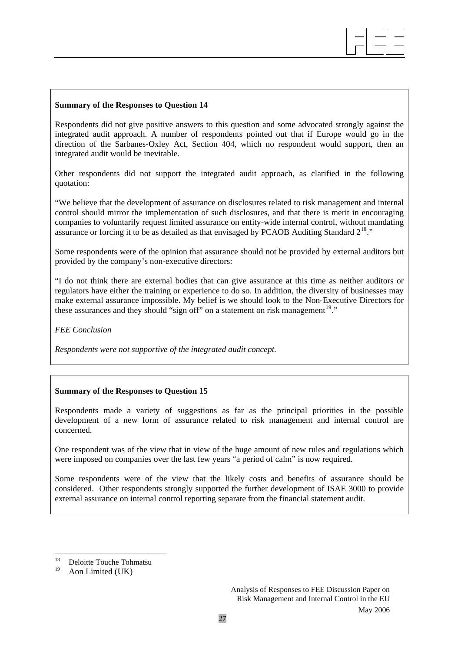Respondents did not give positive answers to this question and some advocated strongly against the integrated audit approach. A number of respondents pointed out that if Europe would go in the direction of the Sarbanes-Oxley Act, Section 404, which no respondent would support, then an integrated audit would be inevitable.

 $\overline{\phantom{a}}$  $\overline{\phantom{a}}$  $\overline{\phantom{a}}$ 

Other respondents did not support the integrated audit approach, as clarified in the following quotation:

"We believe that the development of assurance on disclosures related to risk management and internal control should mirror the implementation of such disclosures, and that there is merit in encouraging companies to voluntarily request limited assurance on entity-wide internal control, without mandating assurance or forcing it to be as detailed as that envisaged by PCAOB Auditing Standard  $2^{18}$  $2^{18}$  $2^{18}$ ."

Some respondents were of the opinion that assurance should not be provided by external auditors but provided by the company's non-executive directors:

"I do not think there are external bodies that can give assurance at this time as neither auditors or regulators have either the training or experience to do so. In addition, the diversity of businesses may make external assurance impossible. My belief is we should look to the Non-Executive Directors for these assurances and they should "sign off" on a statement on risk management<sup>[19](#page-26-1)</sup>."

*FEE Conclusion* 

*Respondents were not supportive of the integrated audit concept.* 

#### **Summary of the Responses to Question 15**

Respondents made a variety of suggestions as far as the principal priorities in the possible development of a new form of assurance related to risk management and internal control are concerned.

One respondent was of the view that in view of the huge amount of new rules and regulations which were imposed on companies over the last few years "a period of calm" is now required.

Some respondents were of the view that the likely costs and benefits of assurance should be considered. Other respondents strongly supported the further development of ISAE 3000 to provide external assurance on internal control reporting separate from the financial statement audit.

<span id="page-26-0"></span><sup>18</sup> <sup>18</sup> Deloitte Touche Tohmatsu

<span id="page-26-1"></span>Aon Limited (UK)